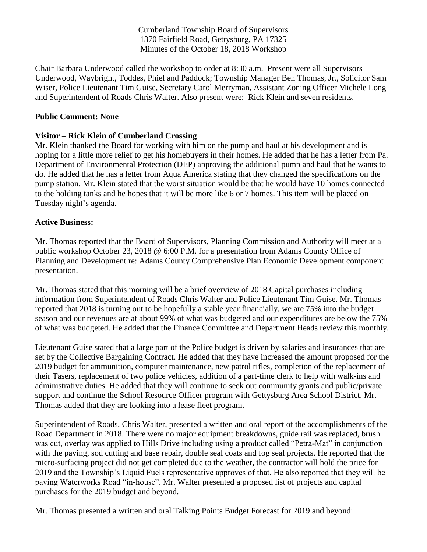Cumberland Township Board of Supervisors 1370 Fairfield Road, Gettysburg, PA 17325 Minutes of the October 18, 2018 Workshop

Chair Barbara Underwood called the workshop to order at 8:30 a.m. Present were all Supervisors Underwood, Waybright, Toddes, Phiel and Paddock; Township Manager Ben Thomas, Jr., Solicitor Sam Wiser, Police Lieutenant Tim Guise, Secretary Carol Merryman, Assistant Zoning Officer Michele Long and Superintendent of Roads Chris Walter. Also present were: Rick Klein and seven residents.

# **Public Comment: None**

# **Visitor – Rick Klein of Cumberland Crossing**

Mr. Klein thanked the Board for working with him on the pump and haul at his development and is hoping for a little more relief to get his homebuyers in their homes. He added that he has a letter from Pa. Department of Environmental Protection (DEP) approving the additional pump and haul that he wants to do. He added that he has a letter from Aqua America stating that they changed the specifications on the pump station. Mr. Klein stated that the worst situation would be that he would have 10 homes connected to the holding tanks and he hopes that it will be more like 6 or 7 homes. This item will be placed on Tuesday night's agenda.

## **Active Business:**

Mr. Thomas reported that the Board of Supervisors, Planning Commission and Authority will meet at a public workshop October 23, 2018 @ 6:00 P.M. for a presentation from Adams County Office of Planning and Development re: Adams County Comprehensive Plan Economic Development component presentation.

Mr. Thomas stated that this morning will be a brief overview of 2018 Capital purchases including information from Superintendent of Roads Chris Walter and Police Lieutenant Tim Guise. Mr. Thomas reported that 2018 is turning out to be hopefully a stable year financially, we are 75% into the budget season and our revenues are at about 99% of what was budgeted and our expenditures are below the 75% of what was budgeted. He added that the Finance Committee and Department Heads review this monthly.

Lieutenant Guise stated that a large part of the Police budget is driven by salaries and insurances that are set by the Collective Bargaining Contract. He added that they have increased the amount proposed for the 2019 budget for ammunition, computer maintenance, new patrol rifles, completion of the replacement of their Tasers, replacement of two police vehicles, addition of a part-time clerk to help with walk-ins and administrative duties. He added that they will continue to seek out community grants and public/private support and continue the School Resource Officer program with Gettysburg Area School District. Mr. Thomas added that they are looking into a lease fleet program.

Superintendent of Roads, Chris Walter, presented a written and oral report of the accomplishments of the Road Department in 2018. There were no major equipment breakdowns, guide rail was replaced, brush was cut, overlay was applied to Hills Drive including using a product called "Petra-Mat" in conjunction with the paving, sod cutting and base repair, double seal coats and fog seal projects. He reported that the micro-surfacing project did not get completed due to the weather, the contractor will hold the price for 2019 and the Township's Liquid Fuels representative approves of that. He also reported that they will be paving Waterworks Road "in-house". Mr. Walter presented a proposed list of projects and capital purchases for the 2019 budget and beyond.

Mr. Thomas presented a written and oral Talking Points Budget Forecast for 2019 and beyond: